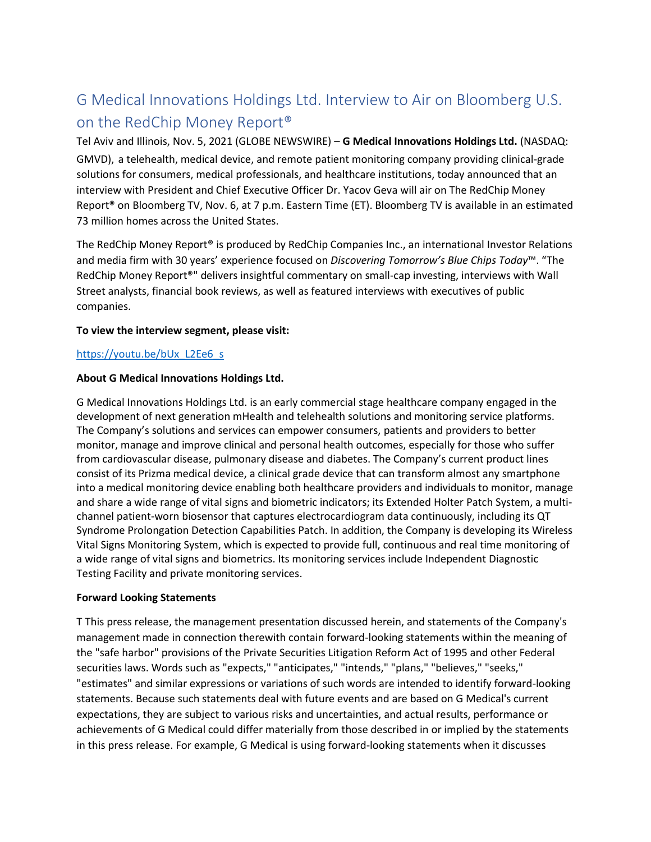# G Medical Innovations Holdings Ltd. Interview to Air on Bloomberg U.S. on the RedChip Money Report®

Tel Aviv and Illinois, Nov. 5, 2021 (GLOBE NEWSWIRE) – **G Medical Innovations Holdings Ltd.** (NASDAQ: GMVD), a telehealth, medical device, and remote patient monitoring company providing clinical-grade solutions for consumers, medical professionals, and healthcare institutions, today announced that an interview with President and Chief Executive Officer Dr. Yacov Geva will air on The RedChip Money Report® on Bloomberg TV, Nov. 6, at 7 p.m. Eastern Time (ET). Bloomberg TV is available in an estimated 73 million homes across the United States.

The RedChip Money Report® is produced by RedChip Companies Inc., an international Investor Relations and media firm with 30 years' experience focused on *Discovering Tomorrow's Blue Chips Today*™. "The RedChip Money Report®" delivers insightful commentary on small-cap investing, interviews with Wall Street analysts, financial book reviews, as well as featured interviews with executives of public companies.

### **To view the interview segment, please visit:**

## [https://youtu.be/bUx\\_L2Ee6\\_s](https://youtu.be/bUx_L2Ee6_s)

#### **About G Medical Innovations Holdings Ltd.**

G Medical Innovations Holdings Ltd. is an early commercial stage healthcare company engaged in the development of next generation mHealth and telehealth solutions and monitoring service platforms. The Company's solutions and services can empower consumers, patients and providers to better monitor, manage and improve clinical and personal health outcomes, especially for those who suffer from cardiovascular disease, pulmonary disease and diabetes. The Company's current product lines consist of its Prizma medical device, a clinical grade device that can transform almost any smartphone into a medical monitoring device enabling both healthcare providers and individuals to monitor, manage and share a wide range of vital signs and biometric indicators; its Extended Holter Patch System, a multichannel patient-worn biosensor that captures electrocardiogram data continuously, including its QT Syndrome Prolongation Detection Capabilities Patch. In addition, the Company is developing its Wireless Vital Signs Monitoring System, which is expected to provide full, continuous and real time monitoring of a wide range of vital signs and biometrics. Its monitoring services include Independent Diagnostic Testing Facility and private monitoring services.

#### **Forward Looking Statements**

T This press release, the management presentation discussed herein, and statements of the Company's management made in connection therewith contain forward-looking statements within the meaning of the "safe harbor" provisions of the Private Securities Litigation Reform Act of 1995 and other Federal securities laws. Words such as "expects," "anticipates," "intends," "plans," "believes," "seeks," "estimates" and similar expressions or variations of such words are intended to identify forward-looking statements. Because such statements deal with future events and are based on G Medical's current expectations, they are subject to various risks and uncertainties, and actual results, performance or achievements of G Medical could differ materially from those described in or implied by the statements in this press release. For example, G Medical is using forward-looking statements when it discusses